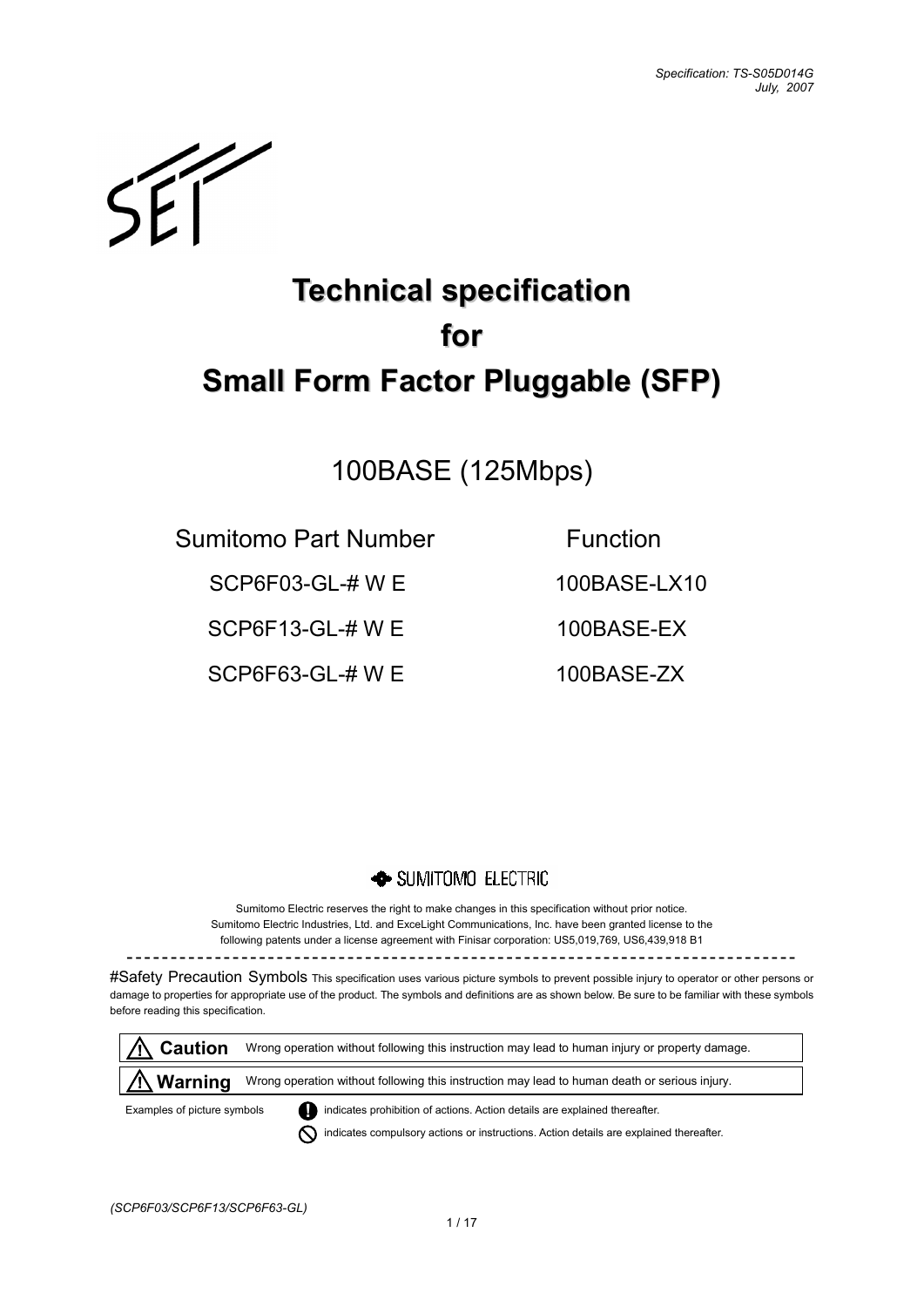$\mathcal{L}$ 

# **Technical specification for Small Form Factor Pluggable (SFP)**

## 100BASE (125Mbps)

Sumitomo Part Number Function

SCP6F03-GL-# W F 100BASE-LX10

SCP6F13-GL-# W E 100BASE-EX

SCP6F63-GL-# W F 100BASE-ZX

## SUMITOMO ELECTRIC

Sumitomo Electric reserves the right to make changes in this specification without prior notice. Sumitomo Electric Industries, Ltd. and ExceLight Communications, Inc. have been granted license to the following patents under a license agreement with Finisar corporation: US5,019,769, US6,439,918 B1

----------------------------------------------------------------------------

#Safety Precaution Symbols This specification uses various picture symbols to prevent possible injury to operator or other persons or damage to properties for appropriate use of the product. The symbols and definitions are as shown below. Be sure to be familiar with these symbols before reading this specification.

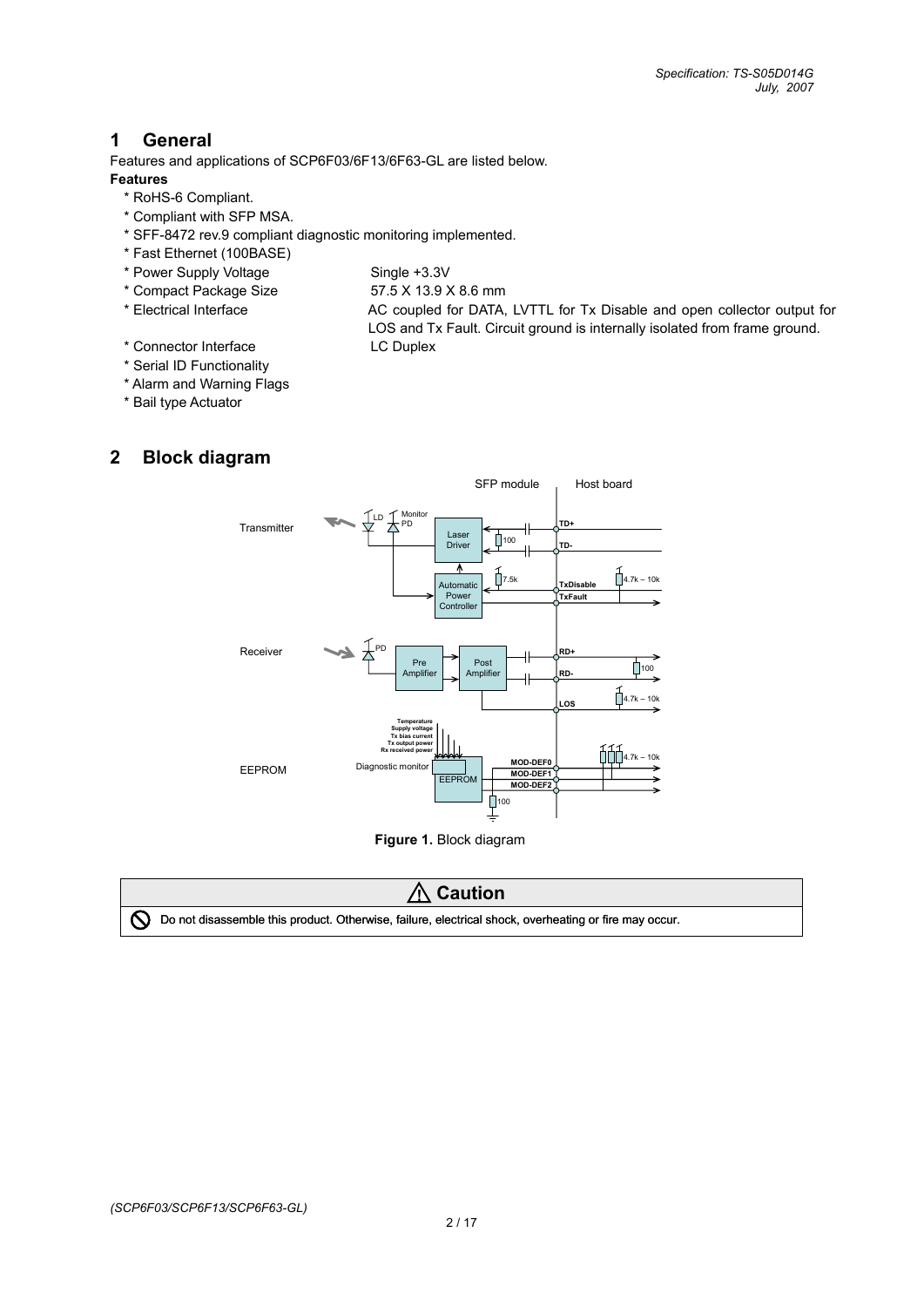## **1 General**

Features and applications of SCP6F03/6F13/6F63-GL are listed below.

#### **Features**

- \* RoHS-6 Compliant.
- \* Compliant with SFP MSA.
- \* SFF-8472 rev.9 compliant diagnostic monitoring implemented.
- \* Fast Ethernet (100BASE)
- \* Power Supply Voltage Single +3.3V
- \* Compact Package Size 57.5 X 13.9 X 8.6 mm
- 
- \* Electrical Interface AC coupled for DATA, LVTTL for Tx Disable and open collector output for
- 

LOS and Tx Fault. Circuit ground is internally isolated from frame ground.

- \* Connector Interface LC Duplex
- \* Serial ID Functionality
- \* Alarm and Warning Flags
- \* Bail type Actuator

## **2 Block diagram**



**Figure 1.** Block diagram

## **! Caution**



[ Do not disassemble this product. Otherwise, failure, electrical shock, overheating or fire may occur.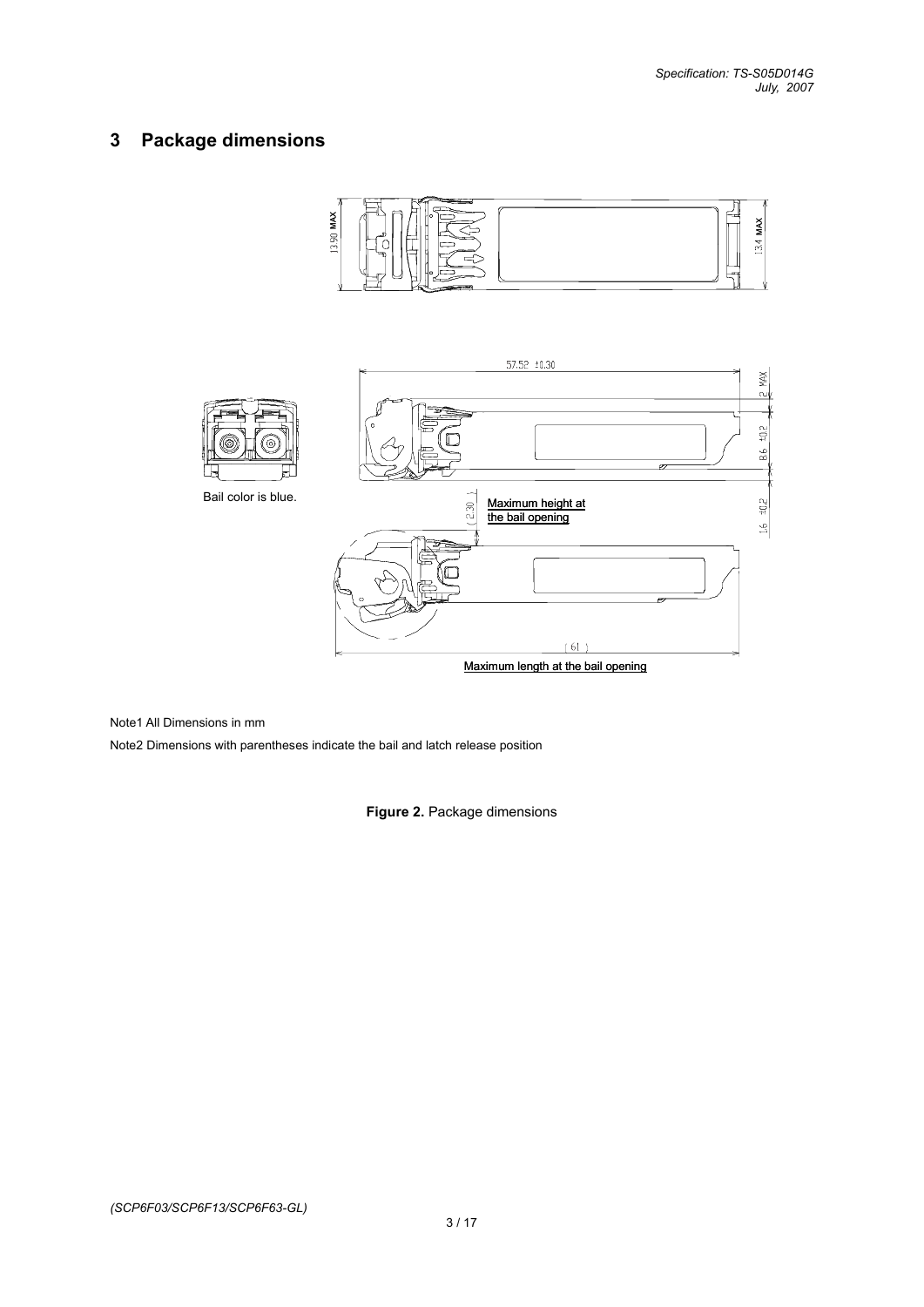## **3 Package dimensions**





Maximum length at the bail opening

Note1 All Dimensions in mm

Note2 Dimensions with parentheses indicate the bail and latch release position

**Figure 2.** Package dimensions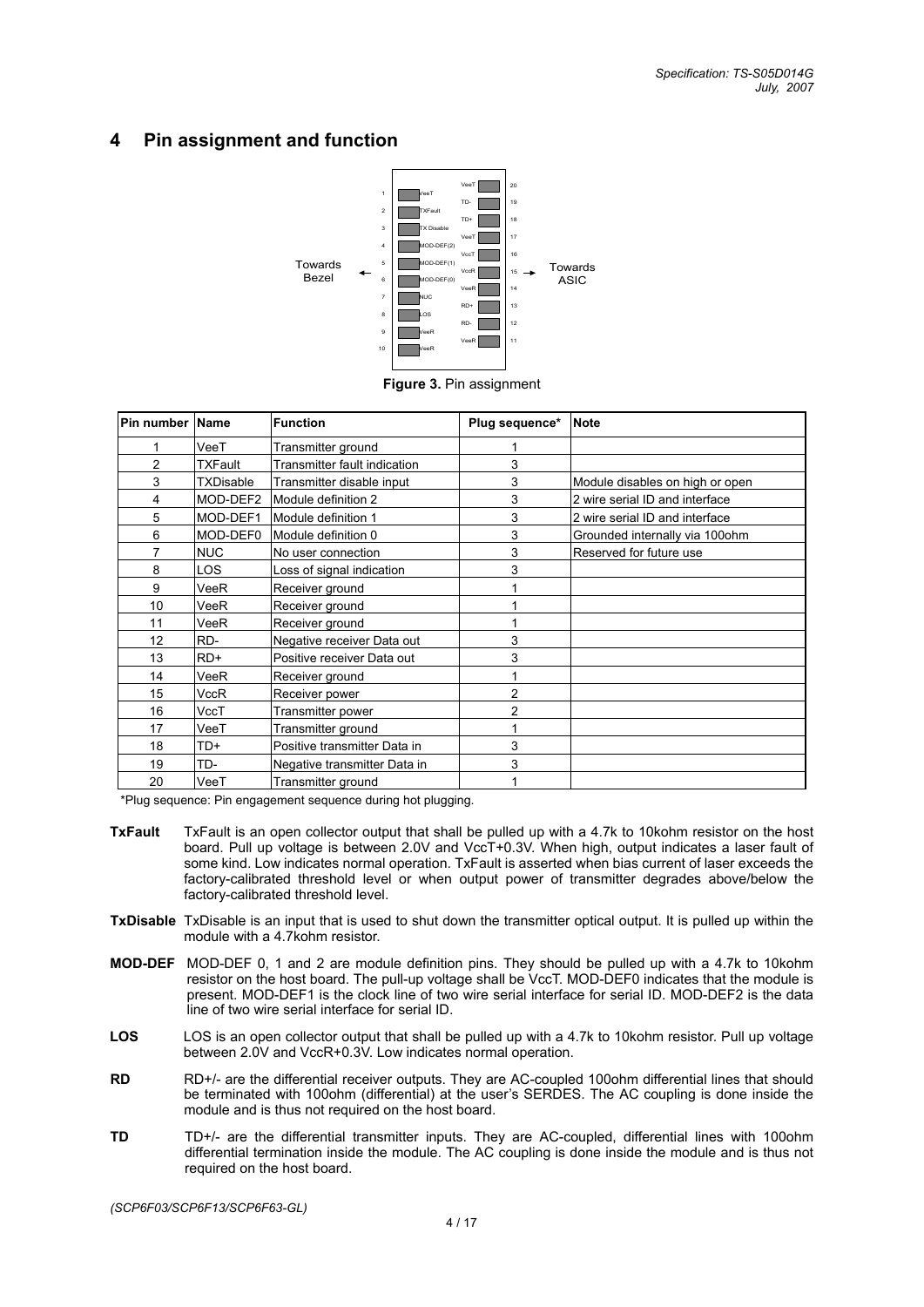## **4 Pin assignment and function**



**Figure 3.** Pin assignment

|    | Pin number Name<br><b>Function</b>             |                              | Plug sequence* | <b>Note</b>                     |
|----|------------------------------------------------|------------------------------|----------------|---------------------------------|
|    | VeeT<br>Transmitter ground                     |                              |                |                                 |
| 2  | <b>TXFault</b><br>Transmitter fault indication |                              | 3              |                                 |
| 3  | <b>TXDisable</b>                               | Transmitter disable input    | 3              | Module disables on high or open |
| 4  | MOD-DEF2                                       | Module definition 2          | 3              | 2 wire serial ID and interface  |
| 5  | MOD-DEF1                                       | Module definition 1          | 3              | 2 wire serial ID and interface  |
| 6  | MOD-DEF0                                       | Module definition 0          | 3              | Grounded internally via 100ohm  |
| 7  | <b>NUC</b>                                     | No user connection           | 3              | Reserved for future use         |
| 8  | <b>LOS</b>                                     | Loss of signal indication    | 3              |                                 |
| 9  | VeeR                                           | Receiver ground              |                |                                 |
| 10 | <b>VeeR</b>                                    | Receiver ground              |                |                                 |
| 11 | VeeR                                           | Receiver ground              |                |                                 |
| 12 | RD-                                            | Negative receiver Data out   | 3              |                                 |
| 13 | $RD+$                                          | Positive receiver Data out   | 3              |                                 |
| 14 | <b>VeeR</b>                                    | Receiver ground              |                |                                 |
| 15 | <b>VccR</b>                                    | Receiver power               | 2              |                                 |
| 16 | VccT                                           | Transmitter power            | $\overline{2}$ |                                 |
| 17 | VeeT                                           | Transmitter ground           |                |                                 |
| 18 | TD+                                            | Positive transmitter Data in | 3              |                                 |
| 19 | TD-                                            | Negative transmitter Data in | 3              |                                 |
| 20 | VeeT                                           | Transmitter ground           |                |                                 |

\*Plug sequence: Pin engagement sequence during hot plugging.

- **TxFault** TxFault is an open collector output that shall be pulled up with a 4.7k to 10kohm resistor on the host board. Pull up voltage is between 2.0V and VccT+0.3V. When high, output indicates a laser fault of some kind. Low indicates normal operation. TxFault is asserted when bias current of laser exceeds the factory-calibrated threshold level or when output power of transmitter degrades above/below the factory-calibrated threshold level.
- **TxDisable** TxDisable is an input that is used to shut down the transmitter optical output. It is pulled up within the module with a 4.7kohm resistor.
- **MOD-DEF** MOD-DEF 0, 1 and 2 are module definition pins. They should be pulled up with a 4.7k to 10kohm resistor on the host board. The pull-up voltage shall be VccT. MOD-DEF0 indicates that the module is present. MOD-DEF1 is the clock line of two wire serial interface for serial ID. MOD-DEF2 is the data line of two wire serial interface for serial ID.
- **LOS** LOS is an open collector output that shall be pulled up with a 4.7k to 10kohm resistor. Pull up voltage between 2.0V and VccR+0.3V. Low indicates normal operation.
- **RD** RD<sup>+/-</sup> are the differential receiver outputs. They are AC-coupled 100ohm differential lines that should be terminated with 100ohm (differential) at the user's SERDES. The AC coupling is done inside the module and is thus not required on the host board.
- **TD** TD+/- are the differential transmitter inputs. They are AC-coupled, differential lines with 100ohm differential termination inside the module. The AC coupling is done inside the module and is thus not required on the host board.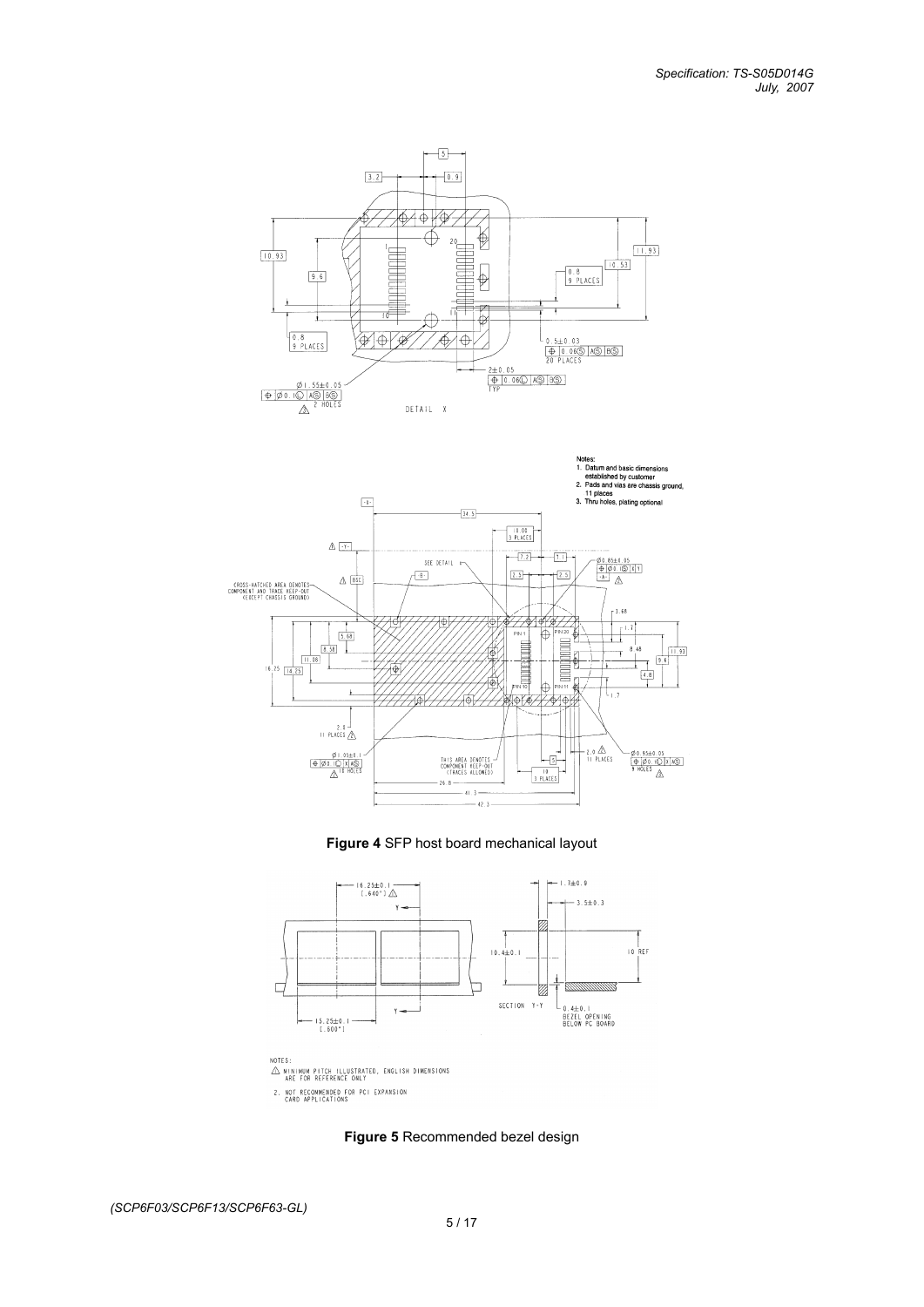







**Figure 5** Recommended bezel design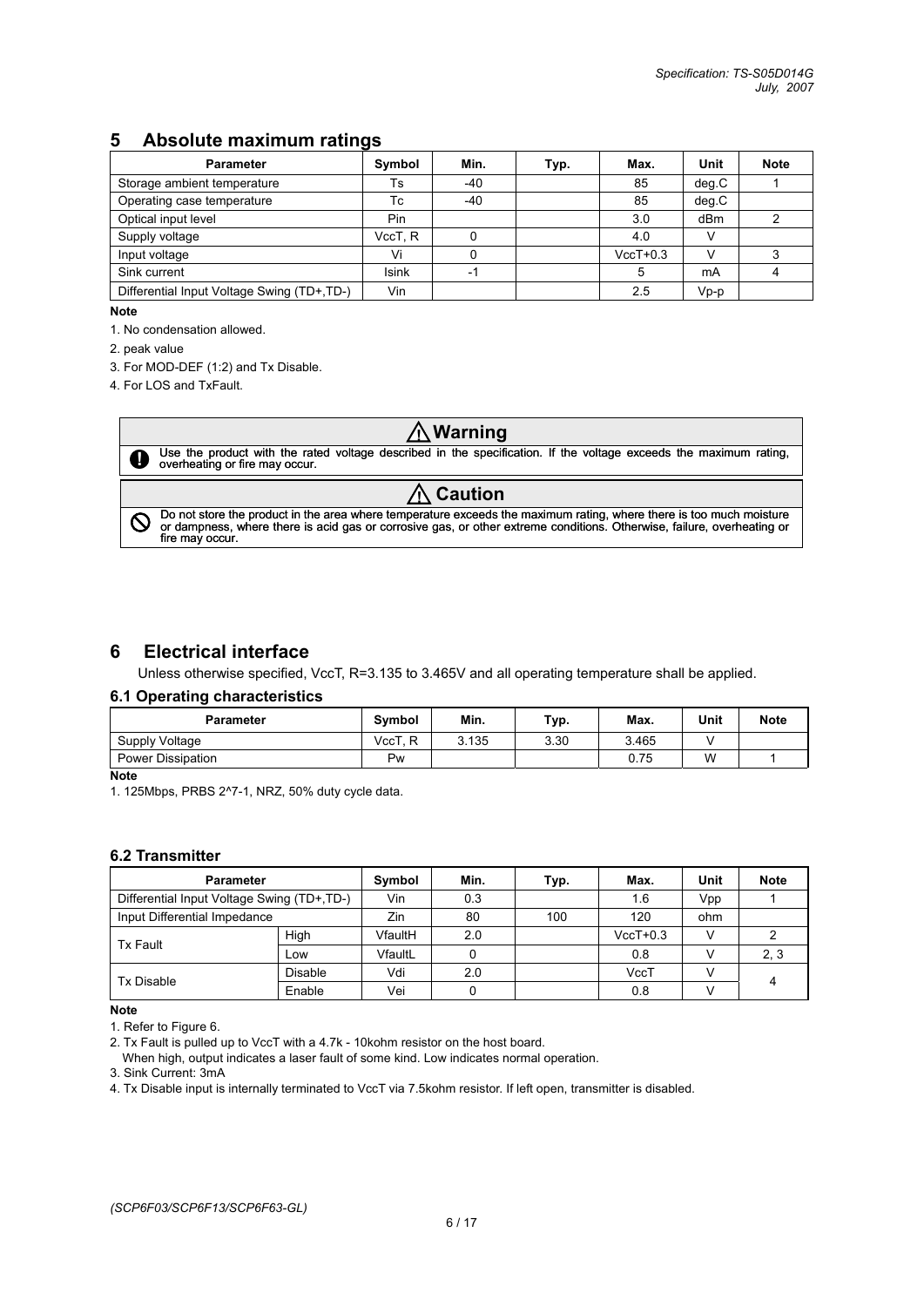## **5 Absolute maximum ratings**

| <b>Parameter</b>                           | Symbol       | Min.  | Typ. | Max.       | Unit  | <b>Note</b> |
|--------------------------------------------|--------------|-------|------|------------|-------|-------------|
| Storage ambient temperature                | Ts           | $-40$ |      | 85         | deg.C |             |
| Operating case temperature                 | Тc           | $-40$ |      | 85         | deg.C |             |
| Optical input level                        | Pin          |       |      | 3.0        | dBm   |             |
| Supply voltage                             | VccT. R      |       |      | 4.0        |       |             |
| Input voltage                              | Vi           |       |      | $VccT+0.3$ |       |             |
| Sink current                               | <b>Isink</b> | -1    |      |            | mA    |             |
| Differential Input Voltage Swing (TD+,TD-) | Vin          |       |      | 2.5        | Vp-p  |             |

**Note**

1. No condensation allowed.

2. peak value

**!**

 $\mathsf{Q}$ 

3. For MOD-DEF (1:2) and Tx Disable.

4. For LOS and TxFault.

## **! Warning**

Use the product with the rated voltage described in the specification. If the voltage exceeds the maximum rating, overheating or fire may occur.

## **! Caution**

Do not store the product in the area where temperature exceeds the maximum rating, where there is too much moisture<br>or dampness, where there is acid gas or corrosive gas, or other extreme conditions. Otherwise, failure, ov

## **6 Electrical interface**

Unless otherwise specified, VccT, R=3.135 to 3.465V and all operating temperature shall be applied.

#### **6.1 Operating characteristics**

| Parameter                | Symbol     | Min.  | Typ. | Max.  | Unit | <b>Note</b> |
|--------------------------|------------|-------|------|-------|------|-------------|
| Supply Voltage           | VccT,<br>R | 3.135 | 3.30 | 3.465 |      |             |
| <b>Power Dissipation</b> | Pw         |       |      | 0.75  | W    |             |

**Note**

1. 125Mbps, PRBS 2^7-1, NRZ, 50% duty cycle data.

#### **6.2 Transmitter**

| <b>Parameter</b>                           | Symbol         | Min.    | Typ. | Max. | Unit       | <b>Note</b> |      |
|--------------------------------------------|----------------|---------|------|------|------------|-------------|------|
| Differential Input Voltage Swing (TD+,TD-) | Vin            | 0.3     |      | 1.6  | Vpp        |             |      |
| Input Differential Impedance               |                | Zin     | 80   | 100  | 120        | ohm         |      |
| Tx Fault                                   | High           | VfaultH | 2.0  |      | $VccT+0.3$ | v           |      |
|                                            | Low            | VfaultL |      |      | 0.8        |             | 2, 3 |
| <b>Tx Disable</b>                          | <b>Disable</b> | Vdi     | 2.0  |      | VccT       |             | 4    |
|                                            | Enable         | Vei     |      |      | 0.8        |             |      |

**Note** 

1. Refer to Figure 6.

2. Tx Fault is pulled up to VccT with a 4.7k - 10kohm resistor on the host board.

When high, output indicates a laser fault of some kind. Low indicates normal operation.

3. Sink Current: 3mA

4. Tx Disable input is internally terminated to VccT via 7.5kohm resistor. If left open, transmitter is disabled.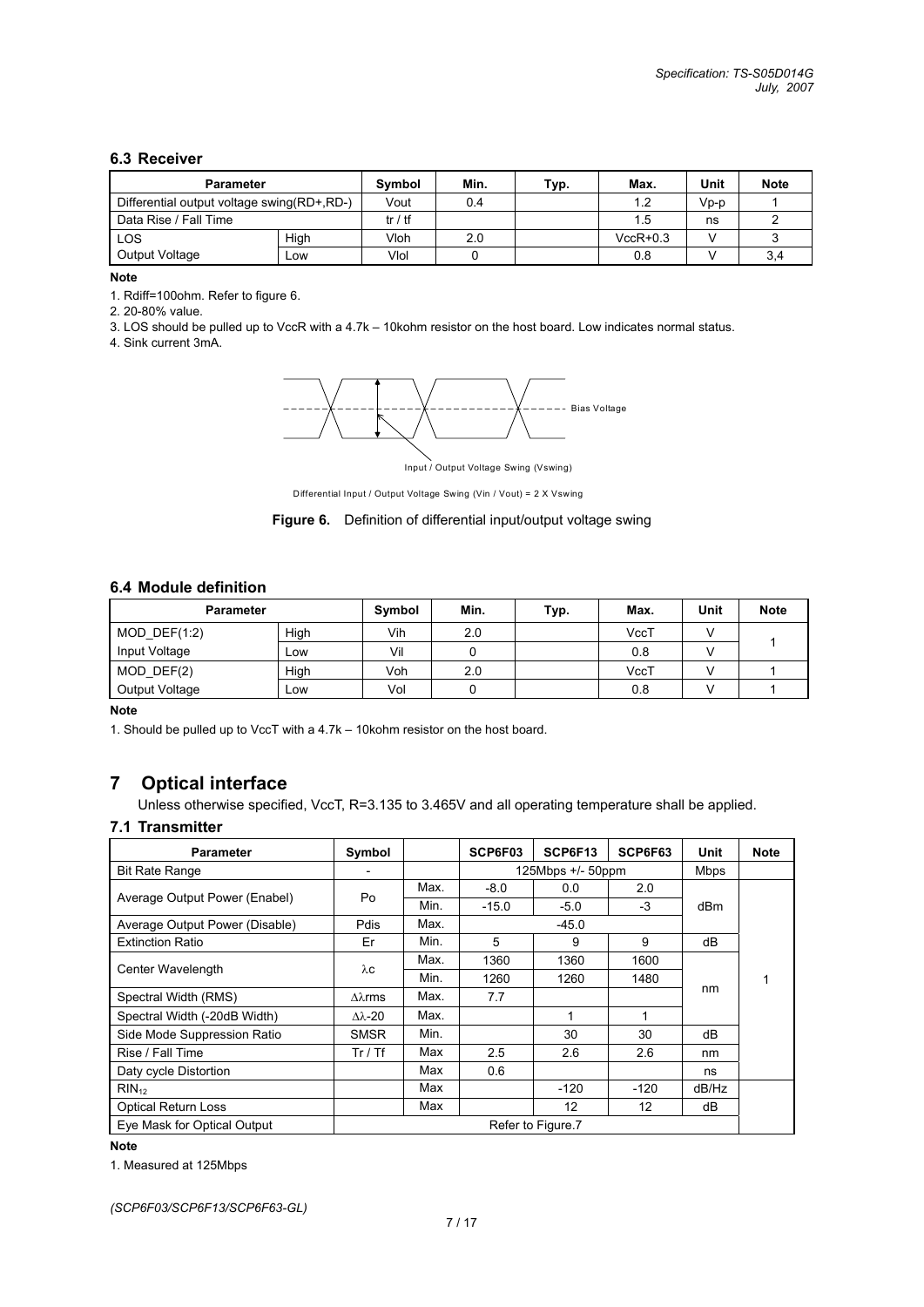#### **6.3 Receiver**

| <b>Parameter</b>                             | Symbol | Min.    | Typ. | Max. | Unit       | <b>Note</b> |     |
|----------------------------------------------|--------|---------|------|------|------------|-------------|-----|
| Differential output voltage swing (RD+, RD-) |        | Vout    | 0.4  |      | 1.2        | Vp-p        |     |
| Data Rise / Fall Time                        |        | tr / tf |      |      | 1.5        | ns          |     |
| LOS                                          | High   | Vloh    | 2.0  |      | $VccR+0.3$ |             |     |
| Output Voltage                               | Low    | Vlol    |      |      | 0.8        |             | 3,4 |

#### **Note**

1. Rdiff=100ohm. Refer to figure 6.

2. 20-80% value.

3. LOS should be pulled up to VccR with a 4.7k – 10kohm resistor on the host board. Low indicates normal status.

4. Sink current 3mA.



Input / Output Voltage Swing (Vswing)

Differential Input / Output Voltage Swing (Vin / Vout) = 2 X Vswing



## **6.4 Module definition**

| <b>Parameter</b> |      | Symbol | Min. | Typ. | Max. | Unit | <b>Note</b> |
|------------------|------|--------|------|------|------|------|-------------|
| MOD DEF $(1:2)$  | High | Vih    | 2.0  |      | VccT |      |             |
| Input Voltage    | Low  | Vil    |      |      | 0.8  |      |             |
| $MOD$ $DEF(2)$   | High | Voh    | 2.0  |      | VccT |      |             |
| Output Voltage   | LOW  | Vol    |      |      | 0.8  |      |             |

**Note**

1. Should be pulled up to VccT with a 4.7k – 10kohm resistor on the host board.

## **7 Optical interface**

Unless otherwise specified, VccT, R=3.135 to 3.465V and all operating temperature shall be applied.

#### **7.1 Transmitter**

| <b>Parameter</b>               | Symbol               |      | SCP6F03           | SCP6F13           | SCP6F63 | Unit        | <b>Note</b> |
|--------------------------------|----------------------|------|-------------------|-------------------|---------|-------------|-------------|
| <b>Bit Rate Range</b>          |                      |      | 125Mbps +/- 50ppm |                   |         | <b>Mbps</b> |             |
|                                | Po                   | Max. | $-8.0$            | 0.0               | 2.0     |             |             |
| Average Output Power (Enabel)  |                      | Min. | $-15.0$           | $-5.0$            | $-3$    | dBm         |             |
| Average Output Power (Disable) | <b>Pdis</b>          | Max. |                   | $-45.0$           |         |             |             |
| <b>Extinction Ratio</b>        | Er                   | Min. | 5                 | 9                 | 9       | dB          |             |
| Center Wavelength              |                      | Max. | 1360              | 1360              | 1600    |             |             |
|                                | λc                   | Min. | 1260              | 1260              | 1480    |             |             |
| Spectral Width (RMS)           | $\Delta\lambda$ rms  | Max. | 7.7               |                   |         | nm          |             |
| Spectral Width (-20dB Width)   | $\Delta \lambda$ -20 | Max. |                   | 1                 | 1       |             |             |
| Side Mode Suppression Ratio    | <b>SMSR</b>          | Min. |                   | 30                | 30      | dB          |             |
| Rise / Fall Time               | Tr / Tf              | Max  | 2.5               | 2.6               | 2.6     | nm          |             |
| Daty cycle Distortion          |                      | Max  | 0.6               |                   |         | ns          |             |
| $RIN_{12}$                     |                      | Max  |                   | $-120$            | $-120$  | dB/Hz       |             |
| <b>Optical Return Loss</b>     |                      | Max  |                   | 12                | 12      | dB          |             |
| Eye Mask for Optical Output    |                      |      |                   | Refer to Figure.7 |         |             |             |

#### **Note**

1. Measured at 125Mbps

*(SCP6F03/SCP6F13/SCP6F63-GL)*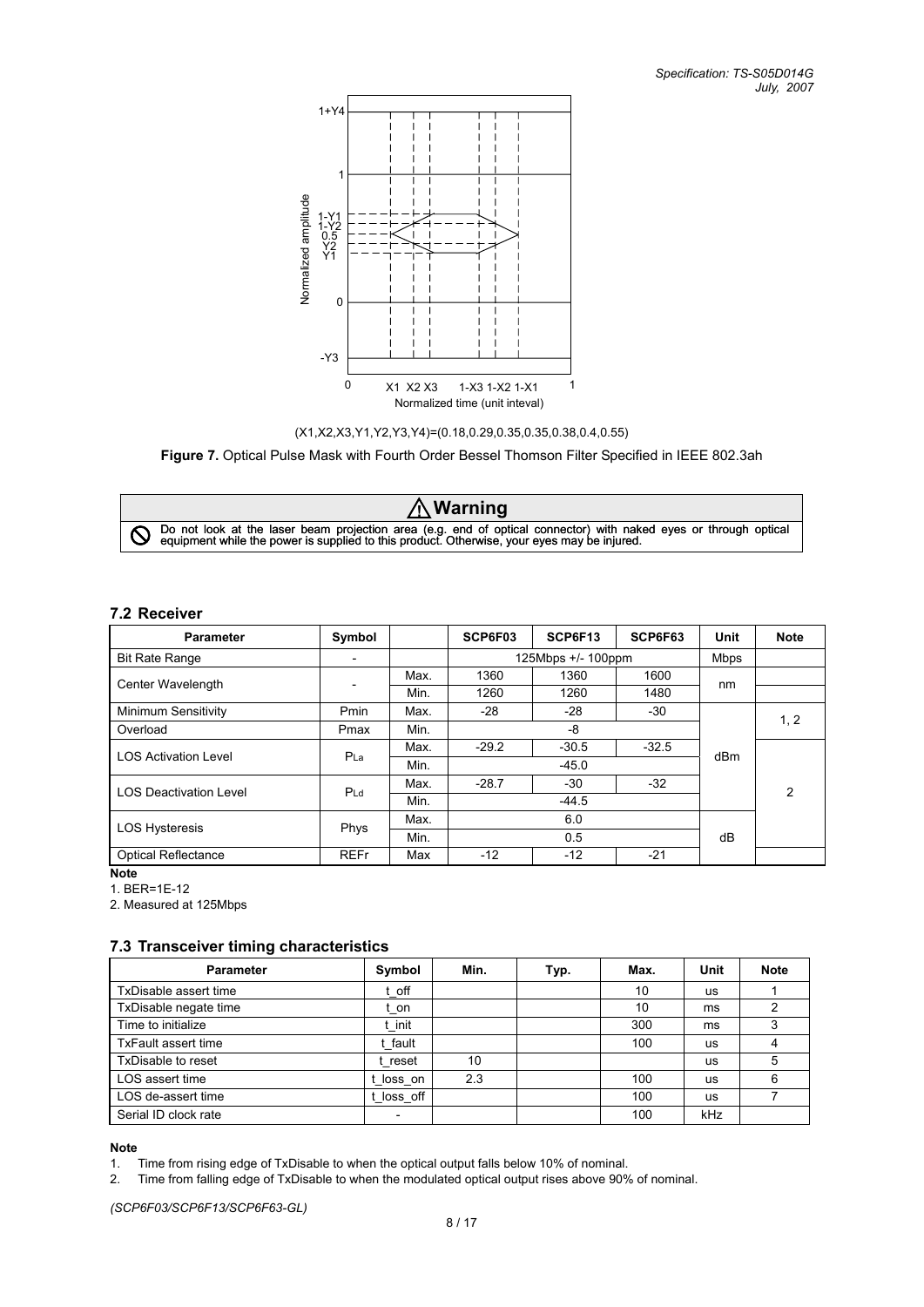



**Figure 7.** Optical Pulse Mask with Fourth Order Bessel Thomson Filter Specified in IEEE 802.3ah

**! Warning** Do not look at the laser beam projection area (e.g. end of optical connector) with naked eyes or through optical equipment while the power is supplied to this product. Otherwise, your eyes may be injured.

#### **7.2 Receiver**

| <b>Parameter</b>              | Symbol          |      | SCP6F03 | SCP6F13            | SCP6F63 | Unit        | <b>Note</b> |
|-------------------------------|-----------------|------|---------|--------------------|---------|-------------|-------------|
| <b>Bit Rate Range</b>         |                 |      |         | 125Mbps +/- 100ppm |         | <b>Mbps</b> |             |
| Center Wavelength             |                 | Max. | 1360    | 1360               | 1600    | nm          |             |
|                               |                 | Min. | 1260    | 1260               | 1480    |             |             |
| Minimum Sensitivity           | <b>Pmin</b>     | Max. | -28     | $-28$              | $-30$   |             | 1, 2        |
| Overload                      | Pmax            | Min. |         | -8                 |         |             |             |
| <b>LOS Activation Level</b>   | P <sub>La</sub> | Max. | $-29.2$ | $-30.5$            | $-32.5$ | dBm         |             |
|                               |                 | Min. |         | $-45.0$            |         |             |             |
| <b>LOS Deactivation Level</b> |                 | Max. | $-28.7$ | $-30$              | $-32$   |             | 2           |
|                               | PLd             | Min. | $-44.5$ |                    |         |             |             |
| <b>LOS Hysteresis</b>         | <b>Phys</b>     | Max. |         | 6.0                |         |             |             |
|                               |                 | Min. |         | 0.5                |         | dB          |             |
| <b>Optical Reflectance</b>    | <b>REFr</b>     | Max  | $-12$   | $-12$              | $-21$   |             |             |

**Note** 

1. BER=1E-12

2. Measured at 125Mbps

#### **7.3 Transceiver timing characteristics**

| <b>Parameter</b>           | Symbol   | Min. | Typ. | Max. | Unit      | <b>Note</b> |
|----------------------------|----------|------|------|------|-----------|-------------|
| TxDisable assert time      | t off    |      |      | 10   | <b>us</b> |             |
| TxDisable negate time      | t on     |      |      | 10   | ms        |             |
| Time to initialize         | : init   |      |      | 300  | ms        |             |
| <b>TxFault assert time</b> | t fault  |      |      | 100  | us        |             |
| TxDisable to reset         | t reset  | 10   |      |      | us        | 5           |
| LOS assert time            | loss on  | 2.3  |      | 100  | us        | 6           |
| LOS de-assert time         | loss off |      |      | 100  | us        |             |
| Serial ID clock rate       |          |      |      | 100  | kHz       |             |

**Note** 

1. Time from rising edge of TxDisable to when the optical output falls below 10% of nominal.

2. Time from falling edge of TxDisable to when the modulated optical output rises above 90% of nominal.

*(SCP6F03/SCP6F13/SCP6F63-GL)*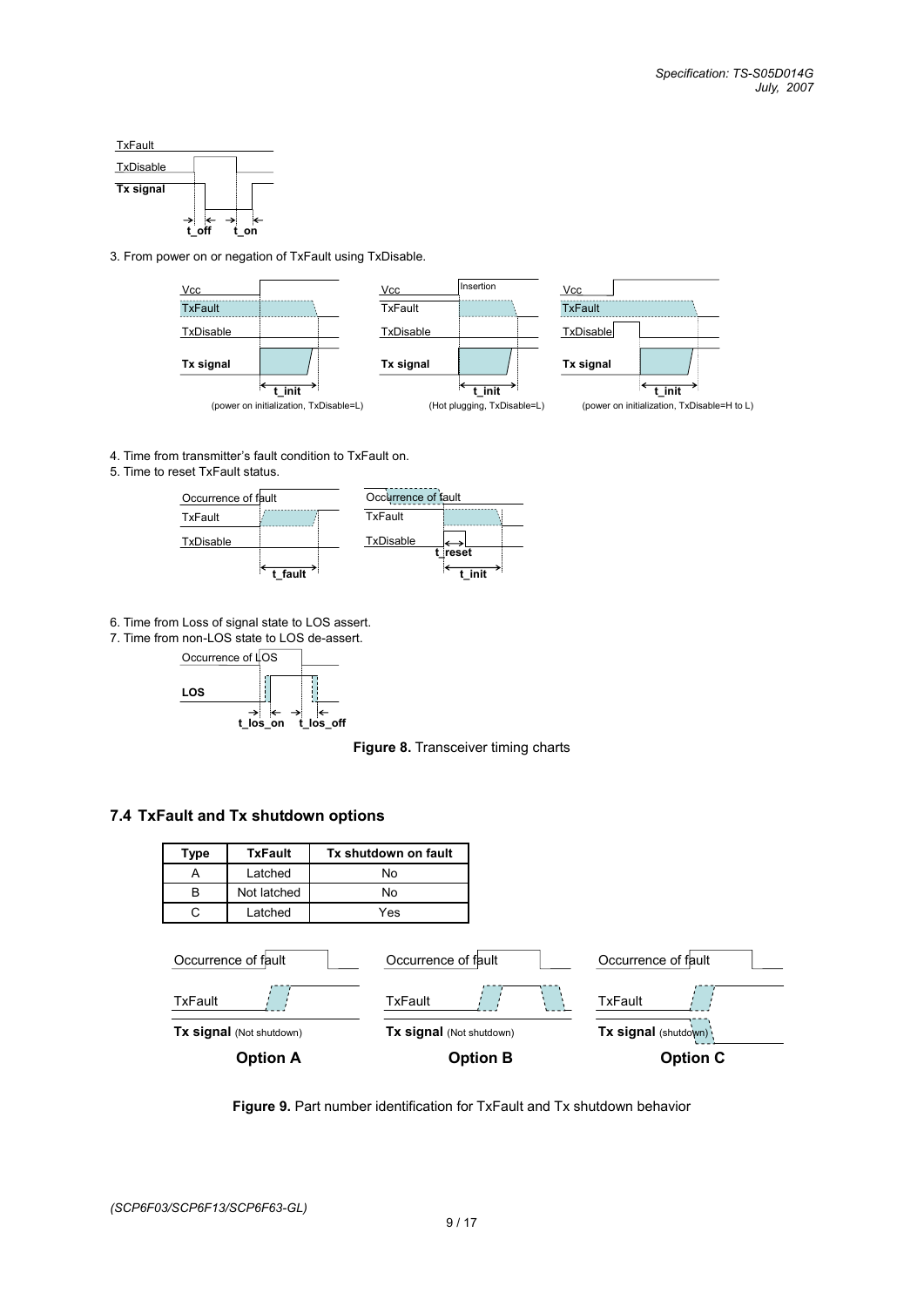

3. From power on or negation of TxFault using TxDisable.



4. Time from transmitter's fault condition to TxFault on.

5. Time to reset TxFault status.



6. Time from Loss of signal state to LOS assert.

7. Time from non-LOS state to LOS de-assert.



**Figure 8.** Transceiver timing charts

#### **7.4 TxFault and Tx shutdown options**



**Figure 9.** Part number identification for TxFault and Tx shutdown behavior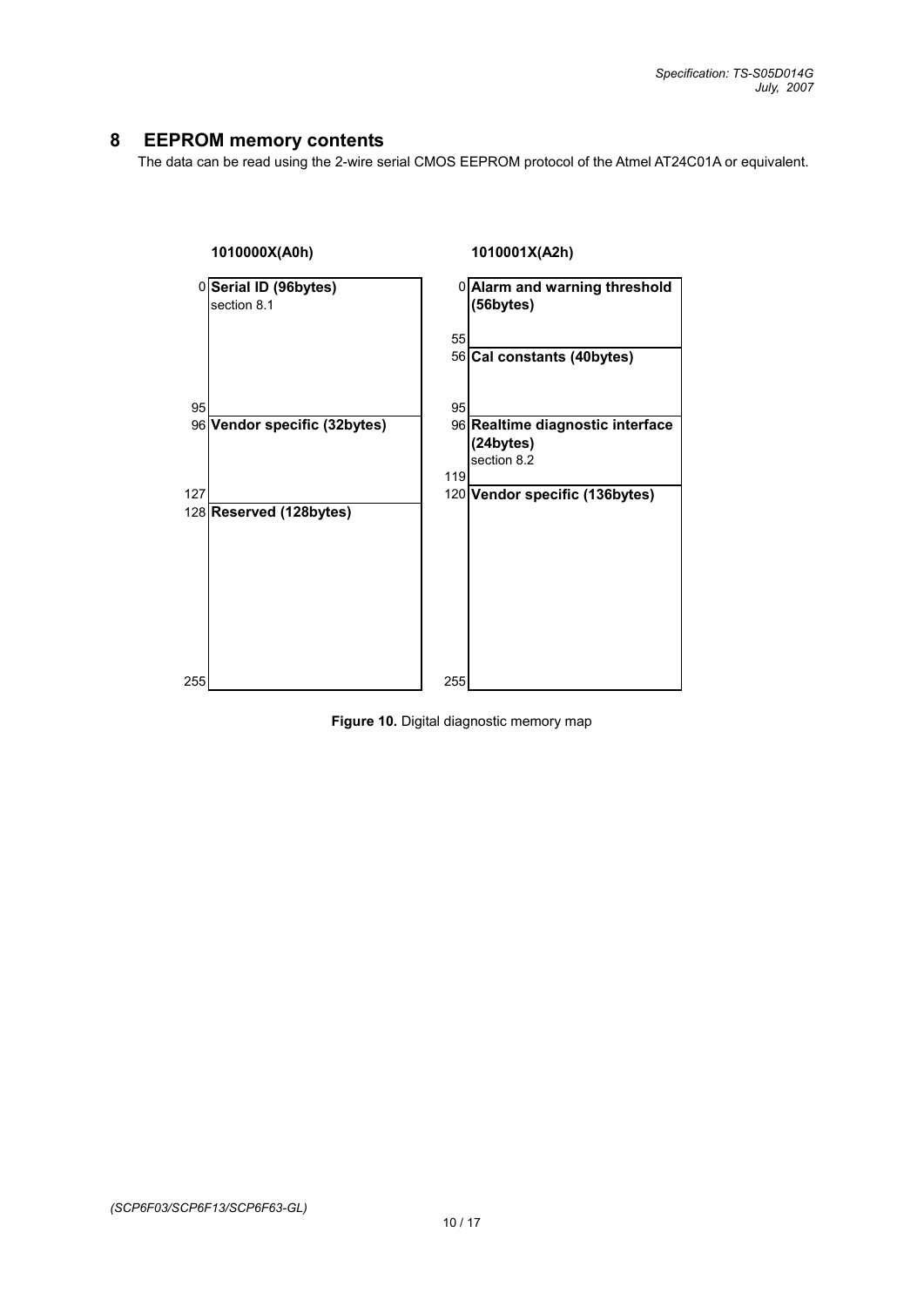## **8 EEPROM memory contents**

The data can be read using the 2-wire serial CMOS EEPROM protocol of the Atmel AT24C01A or equivalent.



**Figure 10.** Digital diagnostic memory map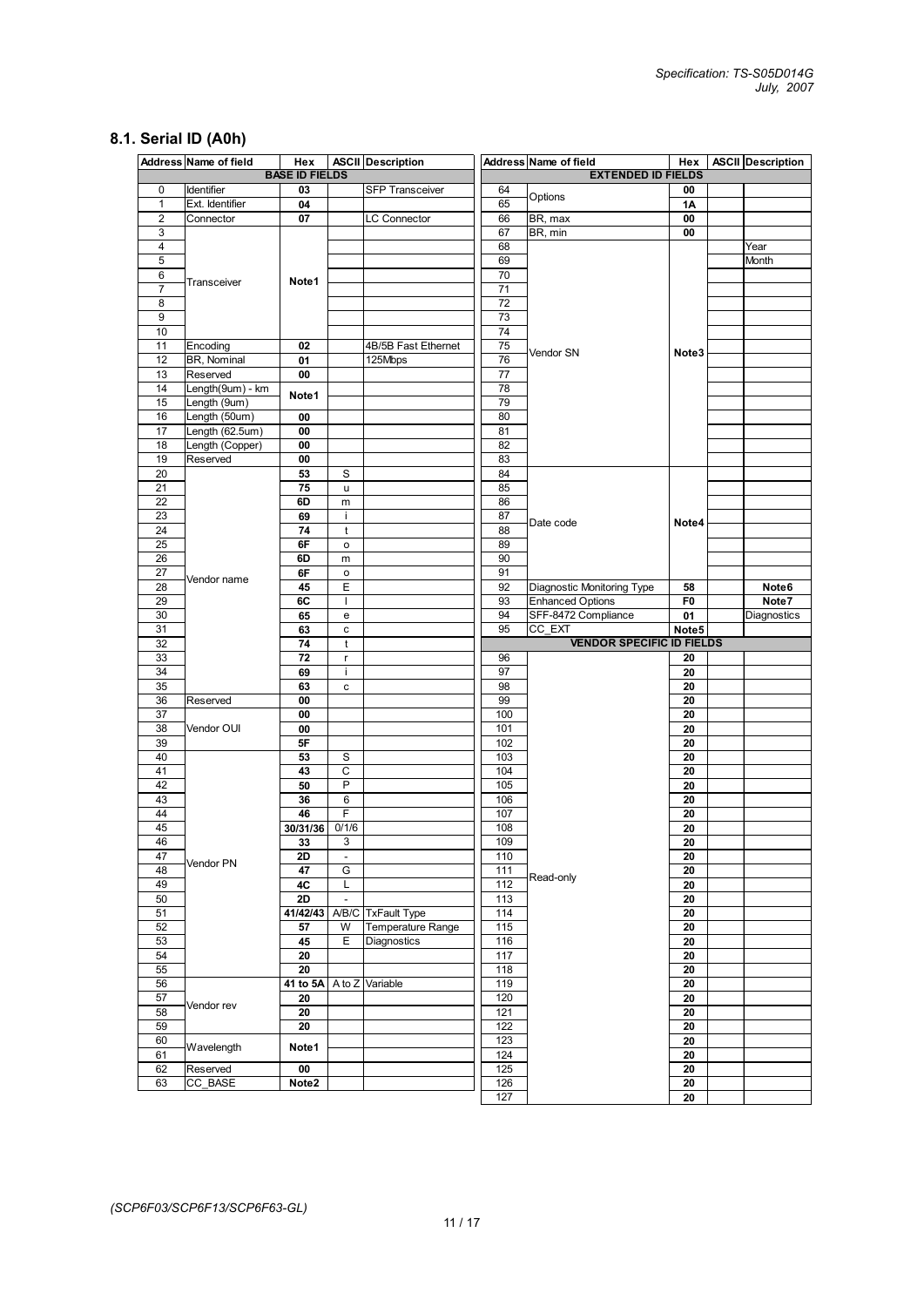## **8.1. Serial ID (A0h)**

|                | Address Name of field | Hex                   |                          | <b>ASCII</b> Description |                 | Address Name of field            | Hex               | <b>ASCII</b> Description |
|----------------|-----------------------|-----------------------|--------------------------|--------------------------|-----------------|----------------------------------|-------------------|--------------------------|
|                |                       | <b>BASE ID FIELDS</b> |                          |                          |                 | <b>EXTENDED ID FIELDS</b>        |                   |                          |
| 0              | Identifier            | 03                    |                          | <b>SFP Transceiver</b>   | 64              | Options                          | 00                |                          |
| $\mathbf{1}$   | Ext. Identifier       | 04                    |                          |                          | 65              |                                  | 1Α                |                          |
| $\overline{c}$ | Connector             | 07                    |                          | <b>LC Connector</b>      | 66              | BR, max                          | 00                |                          |
| 3              |                       |                       |                          |                          | 67              | BR, min                          | 00                |                          |
| 4              |                       |                       |                          |                          | 68              |                                  |                   | Year                     |
| 5              |                       |                       |                          |                          | 69              |                                  |                   | Month                    |
| 6              | Transceiver           | Note 1                |                          |                          | 70              |                                  |                   |                          |
| $\overline{7}$ |                       |                       |                          |                          | 71              |                                  |                   |                          |
| 8              |                       |                       |                          |                          | $\overline{72}$ |                                  |                   |                          |
| 9              |                       |                       |                          |                          | 73              |                                  |                   |                          |
| 10             |                       |                       |                          |                          | 74              |                                  |                   |                          |
| 11             | Encoding              | 02                    |                          | 4B/5B Fast Ethernet      | 75              |                                  |                   |                          |
| 12             | BR, Nominal           | 01                    |                          | 125Mbps                  | 76              | Vendor SN                        | Note3             |                          |
| 13             | Reserved              | 00                    |                          |                          | 77              |                                  |                   |                          |
| 14             | Length(9um) - km      |                       |                          |                          | 78              |                                  |                   |                          |
| 15             | Length (9um)          | Note1                 |                          |                          | 79              |                                  |                   |                          |
| 16             | Length (50um)         | 00                    |                          |                          | 80              |                                  |                   |                          |
| 17             | Length (62.5um)       | 00                    |                          |                          | 81              |                                  |                   |                          |
| 18             | Length (Copper)       | 00                    |                          |                          | 82              |                                  |                   |                          |
| 19             | Reserved              | 00                    |                          |                          | 83              |                                  |                   |                          |
|                |                       |                       |                          |                          | 84              |                                  |                   |                          |
| 20             |                       | 53                    | S                        |                          |                 |                                  |                   |                          |
| 21             |                       | 75                    | u                        |                          | 85              |                                  |                   |                          |
| 22             |                       | 6D                    | m                        |                          | 86              |                                  |                   |                          |
| 23             |                       | 69                    | j.                       |                          | 87              | Date code                        | Note4             |                          |
| 24             |                       | 74                    | t                        |                          | 88              |                                  |                   |                          |
| 25             |                       | 6F                    | o                        |                          | 89              |                                  |                   |                          |
| 26             |                       | 6D                    | m                        |                          | 90              |                                  |                   |                          |
| 27             | Vendor name           | 6F                    | o                        |                          | 91              |                                  |                   |                          |
| 28             |                       | 45                    | Ε                        |                          | 92              | Diagnostic Monitoring Type       | 58                | Note6                    |
| 29             |                       | 6C                    | T                        |                          | 93              | <b>Enhanced Options</b>          | F0                | Note7                    |
| 30             |                       | 65                    | e                        |                          | 94              | SFF-8472 Compliance              | 01                | Diagnostics              |
| 31             |                       | 63                    | c                        |                          | 95              | CC EXT                           | Note <sub>5</sub> |                          |
|                |                       |                       |                          |                          |                 |                                  |                   |                          |
| 32             |                       | 74                    | t                        |                          |                 | <b>VENDOR SPECIFIC ID FIELDS</b> |                   |                          |
| 33             |                       | 72                    | $\mathsf{r}$             |                          | 96              |                                  | 20                |                          |
| 34             |                       | 69                    | ÷.                       |                          | 97              |                                  | 20                |                          |
| 35             |                       | 63                    | с                        |                          | 98              |                                  | 20                |                          |
| 36             | Reserved              | 00                    |                          |                          | 99              |                                  | 20                |                          |
| 37             |                       | 00                    |                          |                          |                 |                                  | 20                |                          |
|                |                       |                       |                          |                          | 100             |                                  | 20                |                          |
| 38             | Vendor OUI            | 00                    |                          |                          | 101             |                                  |                   |                          |
| 39             |                       | 5F                    |                          |                          | 102             |                                  | 20                |                          |
| 40             |                       | 53                    | S                        |                          | 103             |                                  | 20                |                          |
| 41             |                       | 43                    | C                        |                          | 104             |                                  | 20                |                          |
| 42             |                       | 50                    | P                        |                          | 105             |                                  | 20                |                          |
| 43             |                       | 36                    | 6                        |                          | 106             |                                  | 20                |                          |
| 44             |                       | 46                    | F                        |                          | 107             |                                  | 20                |                          |
| 45             |                       | 30/31/36              | 0/1/6                    |                          | 108             |                                  | 20                |                          |
| 46             |                       | 33                    | 3                        |                          | 109             |                                  | 20                |                          |
| 47             | Vendor PN             | 2D                    | $\overline{\phantom{a}}$ |                          | 110             |                                  | 20                |                          |
| 48             |                       | 47                    | G                        |                          | 111             | Read-only                        | 20                |                          |
| 49             |                       | 4C                    | L                        |                          | 112             |                                  | 20                |                          |
| 50             |                       | 2D                    | $\Box$                   |                          | 113             |                                  | 20                |                          |
| 51             |                       | 41/42/43              |                          | A/B/C TxFault Type       | 114             |                                  | 20                |                          |
| 52             |                       | 57                    | W                        | Temperature Range        | 115             |                                  | 20                |                          |
| 53             |                       | 45                    | Е                        | Diagnostics              | 116             |                                  | 20                |                          |
| 54             |                       | 20                    |                          |                          | 117             |                                  | 20                |                          |
| 55             |                       | 20                    |                          |                          | 118             |                                  | 20                |                          |
| 56             |                       | 41 to 5A              |                          | A to Z Variable          | 119             |                                  | 20                |                          |
| 57             |                       | 20                    |                          |                          | 120             |                                  | 20                |                          |
| 58             | Vendor rev            | 20                    |                          |                          | 121             |                                  | 20                |                          |
| 59             |                       | 20                    |                          |                          | 122             |                                  | 20                |                          |
| 60             |                       |                       |                          |                          | 123             |                                  | 20                |                          |
| 61             | Wavelength            | Note1                 |                          |                          | 124             |                                  |                   |                          |
|                |                       |                       |                          |                          |                 |                                  | 20                |                          |
| 62<br>63       | Reserved<br>CC_BASE   | 00<br>Note2           |                          |                          | 125<br>126      |                                  | 20<br>20          |                          |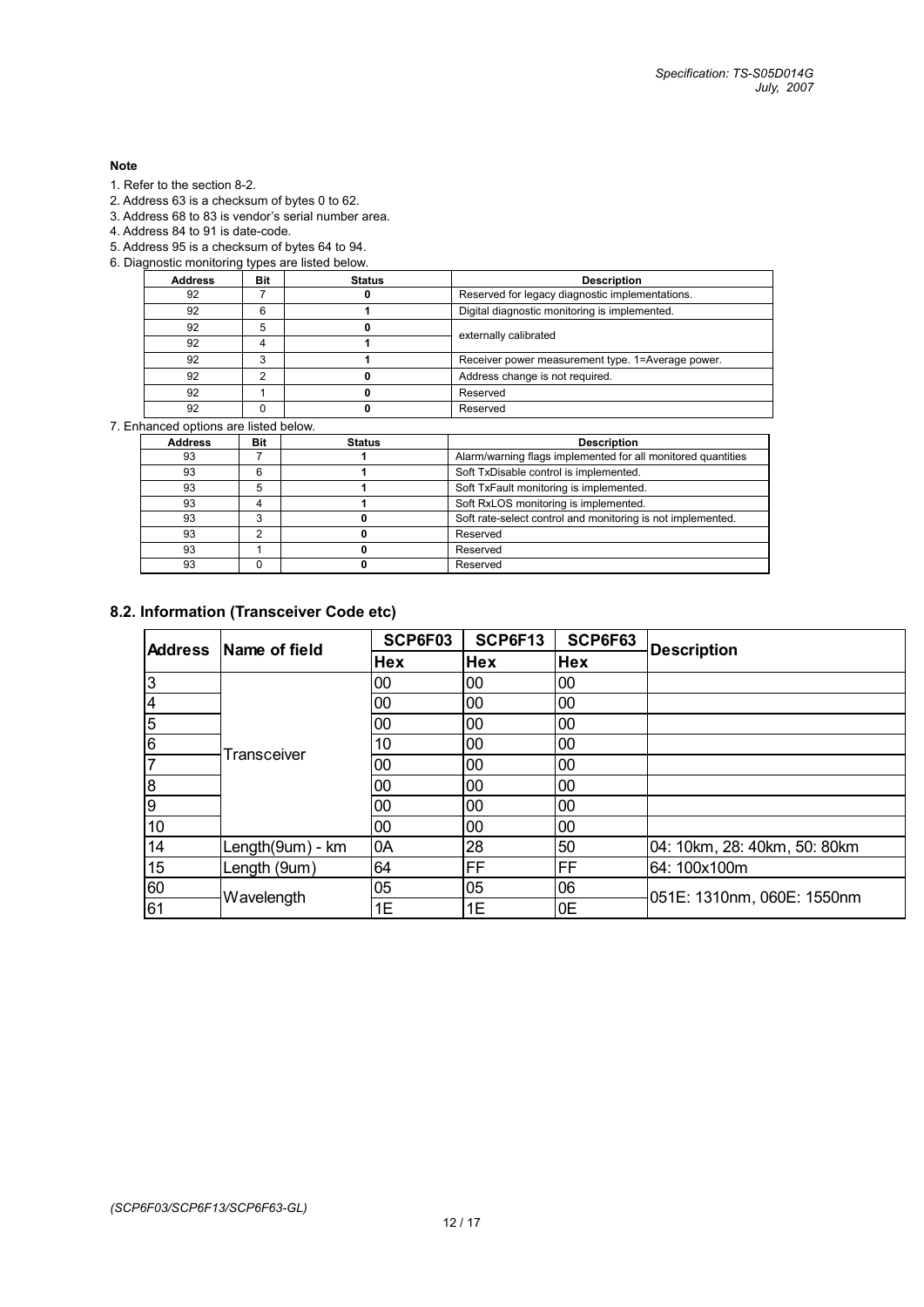#### **Note**

- 1. Refer to the section 8-2.
- 2. Address 63 is a checksum of bytes 0 to 62.
- 3. Address 68 to 83 is vendor's serial number area.
- 4. Address 84 to 91 is date-code.
- 5. Address 95 is a checksum of bytes 64 to 94.
- 6. Diagnostic monitoring types are listed below.

| <b>Address</b> | Bit | <b>Status</b> | <b>Description</b>                                |
|----------------|-----|---------------|---------------------------------------------------|
| 92             |     |               | Reserved for legacy diagnostic implementations.   |
| 92             |     |               | Digital diagnostic monitoring is implemented.     |
| 92             |     |               |                                                   |
| 92             |     |               | externally calibrated                             |
| 92             |     |               | Receiver power measurement type. 1=Average power. |
| 92             |     |               | Address change is not required.                   |
| 92             |     |               | Reserved                                          |
| 92             |     |               | Reserved                                          |

7. Enhanced options are listed below.

| <b>Address</b> | <b>Bit</b> | <b>Status</b> | <b>Description</b>                                           |
|----------------|------------|---------------|--------------------------------------------------------------|
| 93             |            |               | Alarm/warning flags implemented for all monitored quantities |
| 93             | 6          |               | Soft TxDisable control is implemented.                       |
| 93             | 5          |               | Soft TxFault monitoring is implemented.                      |
| 93             |            |               | Soft RxLOS monitoring is implemented.                        |
| 93             |            |               | Soft rate-select control and monitoring is not implemented.  |
| 93             |            |               | Reserved                                                     |
| 93             |            |               | Reserved                                                     |
| 93             |            |               | Reserved                                                     |
|                |            |               |                                                              |

## **8.2. Information (Transceiver Code etc)**

| <b>Address</b> | Name of field    | SCP6F03    | SCP6F13    | SCP6F63    | <b>Description</b>           |
|----------------|------------------|------------|------------|------------|------------------------------|
|                |                  | <b>Hex</b> | <b>Hex</b> | <b>Hex</b> |                              |
| 3              |                  | 00         | 00         | 00         |                              |
| 4              |                  | 00         | 00         | 00         |                              |
| 5              |                  | 00         | 00         | 00         |                              |
| 6              | Transceiver      | 10         | 00         | 00         |                              |
|                |                  | 00         | 00         | 00         |                              |
| 8              |                  | 00         | 00         | 00         |                              |
| 9              |                  | 00         | 00         | 00         |                              |
| 10             |                  | 00         | 00         | 00         |                              |
| 14             | Length(9um) - km | 0A         | 28         | 50         | 04: 10km, 28: 40km, 50: 80km |
| 15             | Length (9um)     | 64         | FF         | FF         | 64: 100x100m                 |
| 60             |                  | 05         | 05         | 06         |                              |
| 61             | Wavelength       | 1E         | 1E         | 0E         | 051E: 1310nm, 060E: 1550nm   |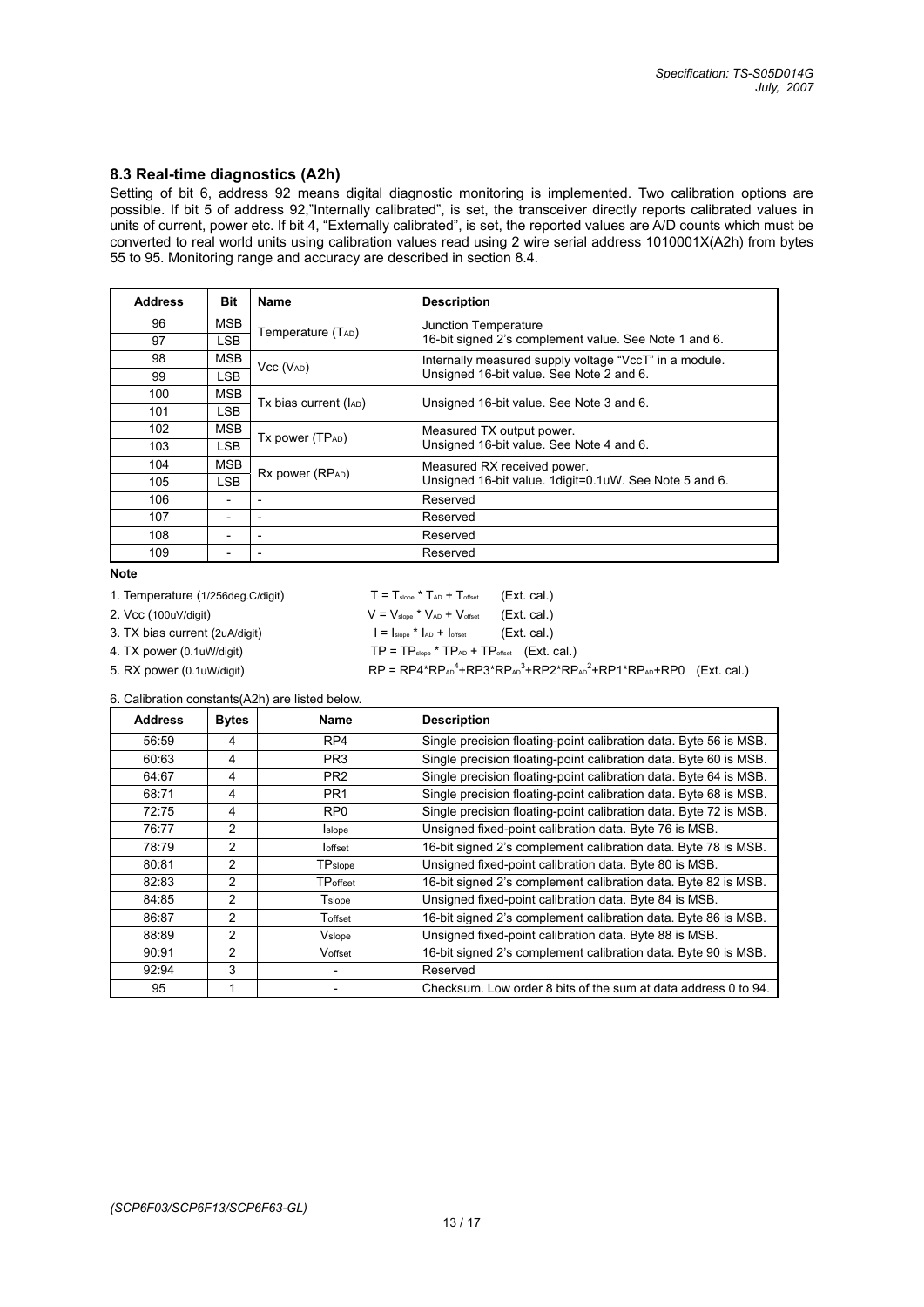#### **8.3 Real-time diagnostics (A2h)**

Setting of bit 6, address 92 means digital diagnostic monitoring is implemented. Two calibration options are possible. If bit 5 of address 92,"Internally calibrated", is set, the transceiver directly reports calibrated values in units of current, power etc. If bit 4, "Externally calibrated", is set, the reported values are A/D counts which must be converted to real world units using calibration values read using 2 wire serial address 1010001X(A2h) from bytes 55 to 95. Monitoring range and accuracy are described in section 8.4.

| <b>Address</b> | <b>Bit</b>               | <b>Name</b>                  | <b>Description</b>                                     |  |  |
|----------------|--------------------------|------------------------------|--------------------------------------------------------|--|--|
| 96             | <b>MSB</b>               | Temperature (TAD)            | Junction Temperature                                   |  |  |
| 97             | <b>LSB</b>               |                              | 16-bit signed 2's complement value. See Note 1 and 6.  |  |  |
| 98             | <b>MSB</b>               | $Vcc (V_{AD})$               | Internally measured supply voltage "VccT" in a module. |  |  |
| 99             | <b>LSB</b>               |                              | Unsigned 16-bit value. See Note 2 and 6.               |  |  |
| 100            | <b>MSB</b>               |                              |                                                        |  |  |
| 101            | <b>LSB</b>               | Tx bias current (lAD)        | Unsigned 16-bit value. See Note 3 and 6.               |  |  |
| 102            | <b>MSB</b>               | Tx power (TP <sub>AD</sub> ) | Measured TX output power.                              |  |  |
| 103            | <b>LSB</b>               |                              | Unsigned 16-bit value. See Note 4 and 6.               |  |  |
| 104            | <b>MSB</b>               |                              | Measured RX received power.                            |  |  |
| 105            | <b>LSB</b>               | Rx power (RPAD)              | Unsigned 16-bit value. 1digit=0.1uW. See Note 5 and 6. |  |  |
| 106            | -                        | $\overline{\phantom{0}}$     | Reserved                                               |  |  |
| 107            | $\overline{\phantom{a}}$ | $\overline{\phantom{a}}$     | Reserved                                               |  |  |
| 108            | $\overline{a}$           | $\overline{\phantom{a}}$     | Reserved                                               |  |  |
| 109            |                          |                              | Reserved                                               |  |  |

#### **Note**

1. Temperature (1/256deg.C/digit)  $T = T_{slope} * T_{AD} + T_{offset}$  (Ext. cal.)

5. RX power (0.1uW/digit)

2. Vcc (100uV/digit)  $V = V_{slope} * V_{AD} + V_{offset}$  (Ext. cal.) 3. TX bias current (2uA/digit)  $I = I_{slope} * I_{AD} + I_{offset}$  (Ext. cal.) 4. TX power (0.1uW/digit)  $TP = TP_{\text{slope}} * TP_{AD} + TP_{\text{offset}}$  (Ext. cal.)  $4+RP3*RP_{AD}^3+RP2*RP_{AD}^2+RP1*RP_{AD}+RP0$  (Ext. cal.)

6. Calibration constants(A2h) are listed below.

| <b>Address</b> | <b>Bytes</b>  | Name            | <b>Description</b>                                                |
|----------------|---------------|-----------------|-------------------------------------------------------------------|
| 56:59          | 4             | RP4             | Single precision floating-point calibration data. Byte 56 is MSB. |
| 60:63          | 4             | PR <sub>3</sub> | Single precision floating-point calibration data. Byte 60 is MSB. |
| 64:67          | 4             | PR <sub>2</sub> | Single precision floating-point calibration data. Byte 64 is MSB. |
| 68:71          | 4             | PR <sub>1</sub> | Single precision floating-point calibration data. Byte 68 is MSB. |
| 72:75          | 4             | RP <sub>0</sub> | Single precision floating-point calibration data. Byte 72 is MSB. |
| 76:77          | 2             | <b>I</b> slope  | Unsigned fixed-point calibration data. Byte 76 is MSB.            |
| 78:79          | 2             | loffset         | 16-bit signed 2's complement calibration data. Byte 78 is MSB.    |
| 80:81          | $\mathcal{P}$ | TPslope         | Unsigned fixed-point calibration data. Byte 80 is MSB.            |
| 82:83          | 2             | TPoffset        | 16-bit signed 2's complement calibration data. Byte 82 is MSB.    |
| 84:85          | $\mathcal{P}$ | Tslope          | Unsigned fixed-point calibration data. Byte 84 is MSB.            |
| 86:87          | 2             | Toffset         | 16-bit signed 2's complement calibration data. Byte 86 is MSB.    |
| 88:89          | $\mathcal{P}$ | Vslope          | Unsigned fixed-point calibration data. Byte 88 is MSB.            |
| 90:91          | $\mathcal{P}$ | Voffset         | 16-bit signed 2's complement calibration data. Byte 90 is MSB.    |
| 92:94          | 3             |                 | Reserved                                                          |
| 95             |               |                 | Checksum. Low order 8 bits of the sum at data address 0 to 94.    |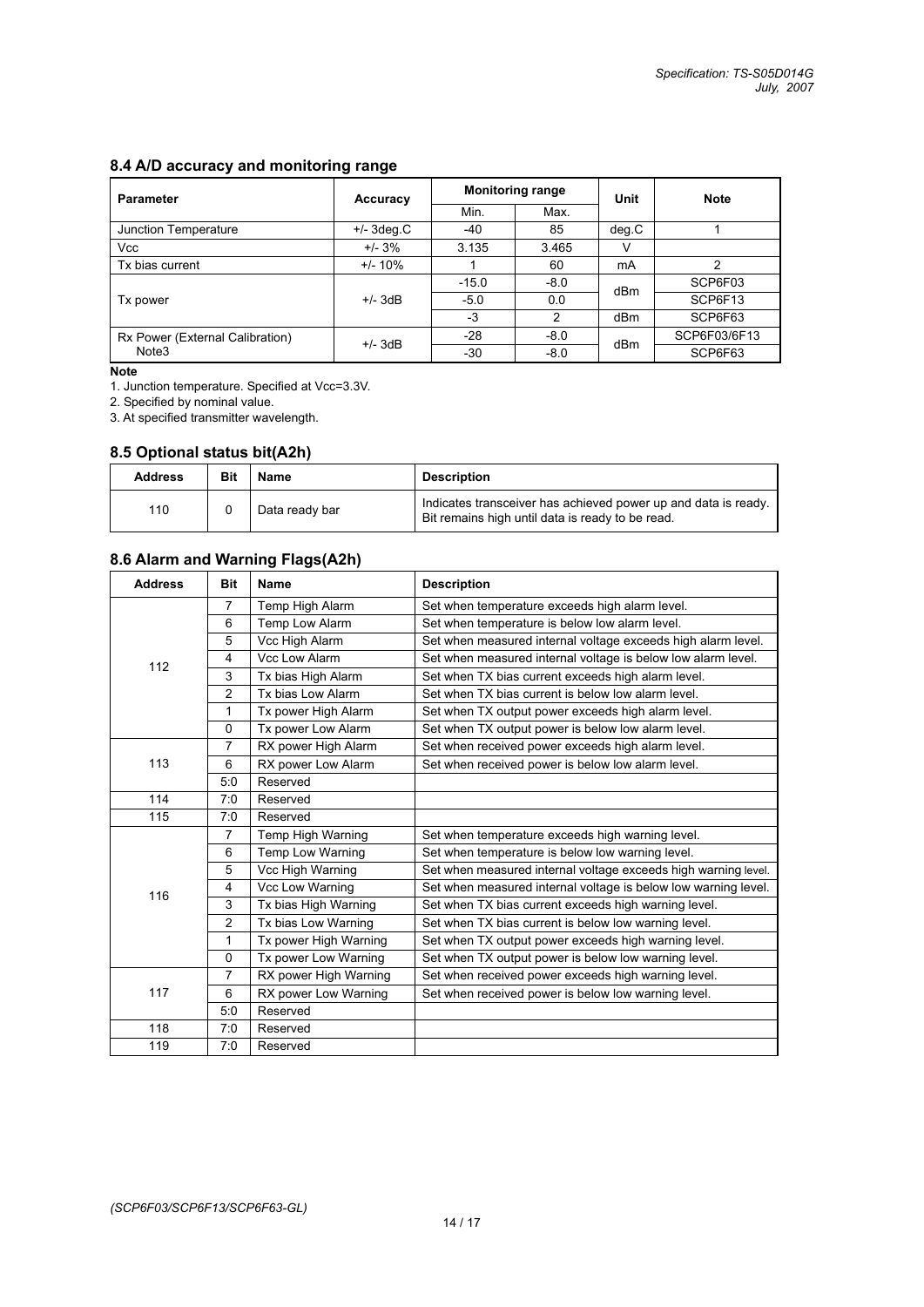## **8.4 A/D accuracy and monitoring range**

| <b>Parameter</b>                | Accuracy     |         | <b>Monitoring range</b> | Unit  | <b>Note</b>  |  |
|---------------------------------|--------------|---------|-------------------------|-------|--------------|--|
|                                 |              | Min.    | Max.                    |       |              |  |
| Junction Temperature            | $+/-$ 3deg.C | $-40$   | 85                      | deg.C |              |  |
| Vcc                             | $+/- 3%$     | 3.135   | 3.465                   |       |              |  |
| Tx bias current                 | $+/- 10\%$   |         | 60                      | mA    | 2            |  |
|                                 | $+/-$ 3dB    | $-15.0$ | $-8.0$                  | dBm   | SCP6F03      |  |
| Tx power                        |              | $-5.0$  | 0.0                     |       | SCP6F13      |  |
|                                 |              | $-3$    | 2                       | dBm   | SCP6F63      |  |
| Rx Power (External Calibration) | $+/-$ 3dB    | $-28$   | $-8.0$                  | dBm   | SCP6F03/6F13 |  |
| Note3                           |              | $-30$   | $-8.0$                  |       | SCP6F63      |  |

#### **Note**

1. Junction temperature. Specified at Vcc=3.3V.

2. Specified by nominal value.

3. At specified transmitter wavelength.

### **8.5 Optional status bit(A2h)**

| <b>Address</b> | Bit | Name           | Description                                                                                                        |
|----------------|-----|----------------|--------------------------------------------------------------------------------------------------------------------|
| 110            |     | Data ready bar | Indicates transceiver has achieved power up and data is ready.<br>Bit remains high until data is ready to be read. |

## **8.6 Alarm and Warning Flags(A2h)**

| <b>Address</b>                         | <b>Bit</b>     | <b>Name</b>           | <b>Description</b>                                             |
|----------------------------------------|----------------|-----------------------|----------------------------------------------------------------|
|                                        | $\overline{7}$ | Temp High Alarm       | Set when temperature exceeds high alarm level.                 |
|                                        | 6              | Temp Low Alarm        | Set when temperature is below low alarm level.                 |
|                                        | 5              | Vcc High Alarm        | Set when measured internal voltage exceeds high alarm level.   |
|                                        | $\overline{4}$ | Vcc Low Alarm         | Set when measured internal voltage is below low alarm level.   |
| 112<br>113<br>114<br>115<br>116<br>117 | 3              | Tx bias High Alarm    | Set when TX bias current exceeds high alarm level.             |
|                                        | $\overline{2}$ | Tx bias Low Alarm     | Set when TX bias current is below low alarm level.             |
|                                        | 1              | Tx power High Alarm   | Set when TX output power exceeds high alarm level.             |
|                                        | $\Omega$       | Tx power Low Alarm    | Set when TX output power is below low alarm level.             |
|                                        | 7              | RX power High Alarm   | Set when received power exceeds high alarm level.              |
|                                        | 6              | RX power Low Alarm    | Set when received power is below low alarm level.              |
|                                        | 5:0            | Reserved              |                                                                |
|                                        | 7:0            | Reserved              |                                                                |
|                                        | 7:0            | Reserved              |                                                                |
|                                        | $\overline{7}$ | Temp High Warning     | Set when temperature exceeds high warning level.               |
|                                        | 6              | Temp Low Warning      | Set when temperature is below low warning level.               |
|                                        | 5              | Vcc High Warning      | Set when measured internal voltage exceeds high warning level. |
|                                        | $\overline{4}$ | Vcc Low Warning       | Set when measured internal voltage is below low warning level. |
|                                        | 3              | Tx bias High Warning  | Set when TX bias current exceeds high warning level.           |
|                                        | 2              | Tx bias Low Warning   | Set when TX bias current is below low warning level.           |
|                                        | 1              | Tx power High Warning | Set when TX output power exceeds high warning level.           |
|                                        | $\Omega$       | Tx power Low Warning  | Set when TX output power is below low warning level.           |
|                                        | $\overline{7}$ | RX power High Warning | Set when received power exceeds high warning level.            |
|                                        | 6              | RX power Low Warning  | Set when received power is below low warning level.            |
|                                        | 5:0            | Reserved              |                                                                |
| 118                                    | 7:0            | Reserved              |                                                                |
| 119                                    | 7:0            | Reserved              |                                                                |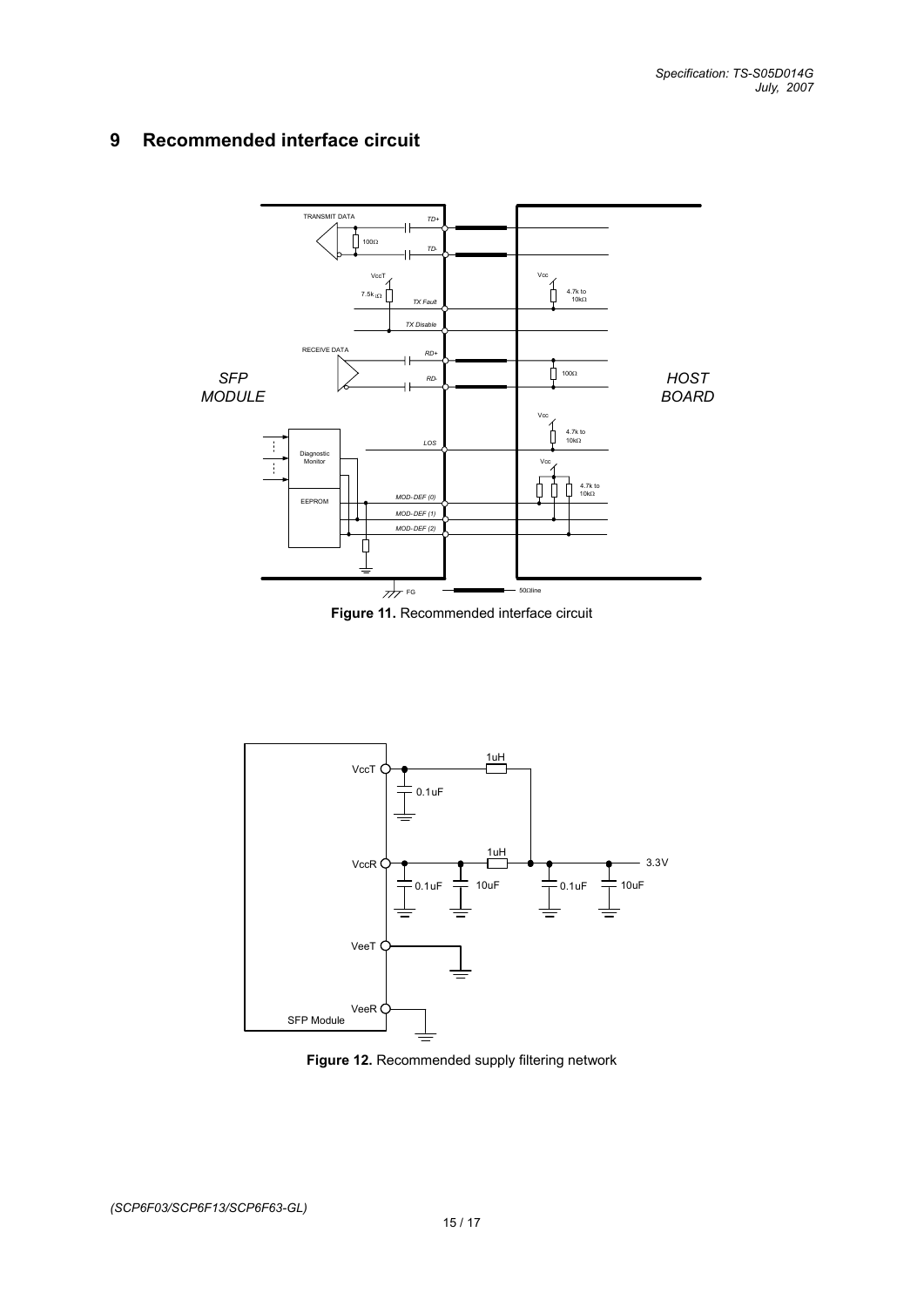## **9 Recommended interface circuit**



**Figure 11.** Recommended interface circuit



**Figure 12.** Recommended supply filtering network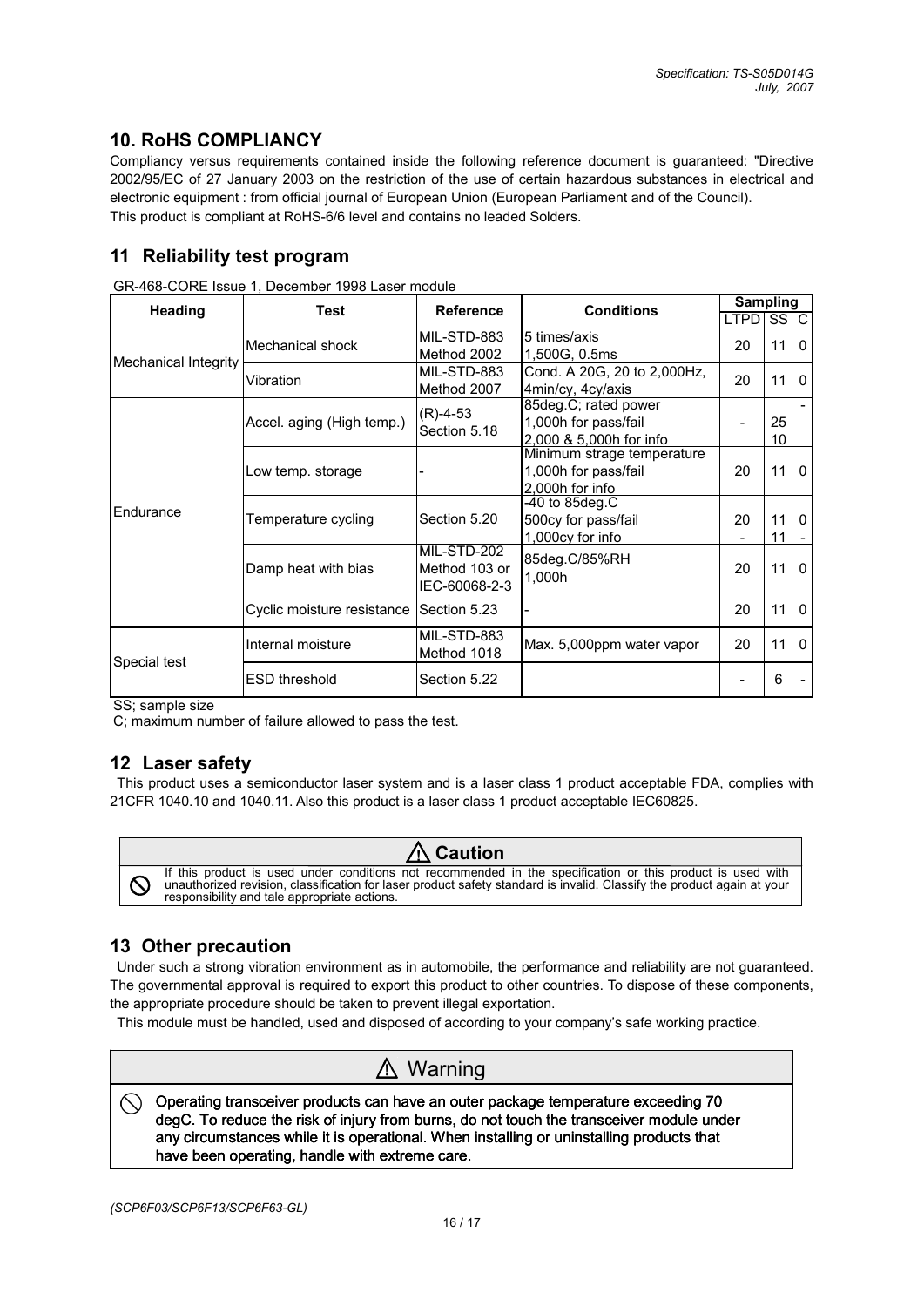## **10. RoHS COMPLIANCY**

Compliancy versus requirements contained inside the following reference document is guaranteed: "Directive 2002/95/EC of 27 January 2003 on the restriction of the use of certain hazardous substances in electrical and electronic equipment : from official journal of European Union (European Parliament and of the Council). This product is compliant at RoHS-6/6 level and contains no leaded Solders.

## **11 Reliability test program**

| Heading              | <b>Test</b>                                                                                                                        | <b>Reference</b>                              | <b>Conditions</b>                                                     | <b>Sampling</b>       |          |          |
|----------------------|------------------------------------------------------------------------------------------------------------------------------------|-----------------------------------------------|-----------------------------------------------------------------------|-----------------------|----------|----------|
|                      |                                                                                                                                    |                                               |                                                                       | LTPD SS C             |          |          |
| Mechanical Integrity | Mechanical shock                                                                                                                   | MIL-STD-883<br>Method 2002                    | 5 times/axis<br>1,500G, 0.5ms                                         | 20                    | 11       | $\Omega$ |
|                      | Vibration                                                                                                                          | MIL-STD-883<br>Method 2007                    | Cond. A 20G, 20 to 2,000Hz,<br>4min/cy, 4cy/axis                      | 20                    | 11       | $\Omega$ |
| Endurance            | 85deg.C; rated power<br>$(R)-4-53$<br>1,000h for pass/fail<br>Accel. aging (High temp.)<br>Section 5.18<br>2.000 & 5.000h for info |                                               |                                                                       | 25<br>10 <sup>°</sup> |          |          |
|                      | Low temp. storage                                                                                                                  |                                               | Minimum strage temperature<br>1,000h for pass/fail<br>2.000h for info | 20                    | 11       | $\Omega$ |
|                      | Temperature cycling                                                                                                                | Section 5.20                                  | -40 to 85deg.C<br>500cy for pass/fail<br>1,000cy for info             | 20                    | 11<br>11 | $\Omega$ |
|                      | Damp heat with bias                                                                                                                | MIL-STD-202<br>Method 103 or<br>IEC-60068-2-3 | 85deg.C/85%RH<br>1,000h                                               | 20                    | 11       | $\Omega$ |
|                      | Cyclic moisture resistance                                                                                                         | Section 5.23                                  |                                                                       | 20                    | 11       | $\Omega$ |
| Special test         | Internal moisture                                                                                                                  | MIL-STD-883<br>Method 1018                    | Max. 5,000ppm water vapor                                             |                       | 11       | $\Omega$ |
|                      | <b>ESD threshold</b>                                                                                                               | Section 5.22                                  |                                                                       |                       | 6        |          |

GR-468-CORE Issue 1, December 1998 Laser module

SS; sample size

C; maximum number of failure allowed to pass the test.

## **12 Laser safety**

 This product uses a semiconductor laser system and is a laser class 1 product acceptable FDA, complies with 21CFR 1040.10 and 1040.11. Also this product is a laser class 1 product acceptable IEC60825.



## **13 Other precaution**

 Under such a strong vibration environment as in automobile, the performance and reliability are not guaranteed. The governmental approval is required to export this product to other countries. To dispose of these components, the appropriate procedure should be taken to prevent illegal exportation.

This module must be handled, used and disposed of according to your company's safe working practice.